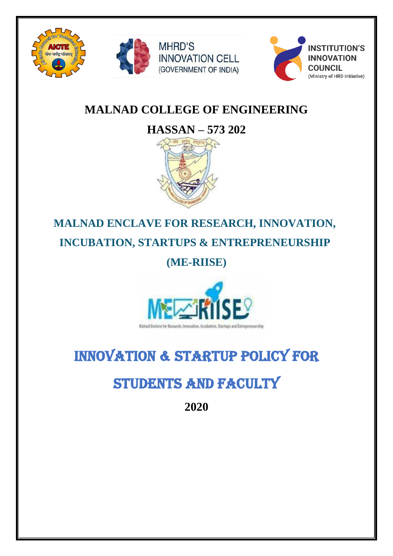





## **MALNAD COLLEGE OF ENGINEERING**

**INNOVATION CELL** 

(GOVERNMENT OF INDIA)

**MHRD'S** 

# **HASSAN – 573 202**



## **MALNAD ENCLAVE FOR RESEARCH, INNOVATION,**

**INCUBATION, STARTUPS & ENTREPRENEURSHIP**

**(ME-RIISE)**



## INNOVATION & STARTUP POLICY FOR

# STUDENTS AND FACULTY

**2020**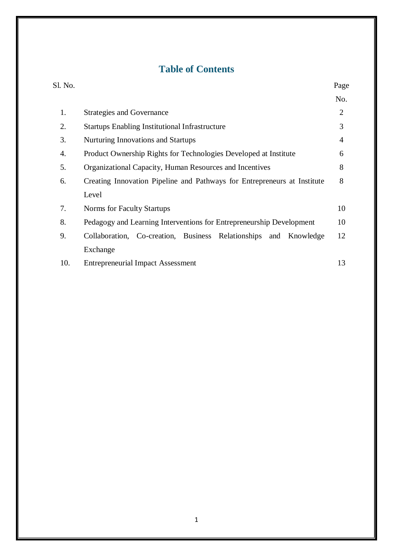### **Table of Contents**

| Sl. No. |                                                                          | Page           |
|---------|--------------------------------------------------------------------------|----------------|
|         |                                                                          | No.            |
| 1.      | <b>Strategies and Governance</b>                                         | $\overline{2}$ |
| 2.      | <b>Startups Enabling Institutional Infrastructure</b>                    | 3              |
| 3.      | Nurturing Innovations and Startups                                       | $\overline{4}$ |
| 4.      | Product Ownership Rights for Technologies Developed at Institute         | 6              |
| 5.      | Organizational Capacity, Human Resources and Incentives                  | 8              |
| 6.      | Creating Innovation Pipeline and Pathways for Entrepreneurs at Institute | 8              |
|         | Level                                                                    |                |
| 7.      | Norms for Faculty Startups                                               | 10             |
| 8.      | Pedagogy and Learning Interventions for Entrepreneurship Development     | 10             |
| 9.      | Collaboration, Co-creation, Business Relationships and Knowledge         | 12             |
|         | Exchange                                                                 |                |
| 10.     | <b>Entrepreneurial Impact Assessment</b>                                 | 13             |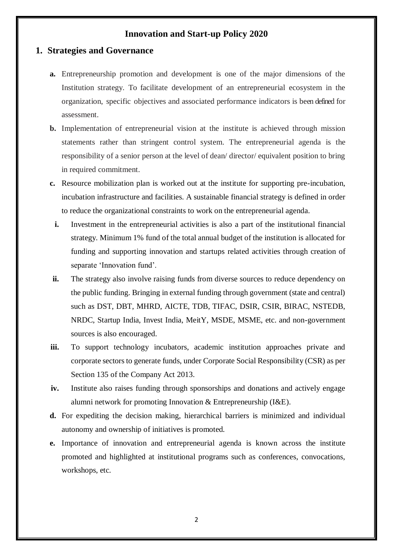#### **Innovation and Start-up Policy 2020**

#### **1. Strategies and Governance**

- **a.** Entrepreneurship promotion and development is one of the major dimensions of the Institution strategy. To facilitate development of an entrepreneurial ecosystem in the organization, specific objectives and associated performance indicators is been defined for assessment.
- **b.** Implementation of entrepreneurial vision at the institute is achieved through mission statements rather than stringent control system. The entrepreneurial agenda is the responsibility of a senior person at the level of dean/ director/ equivalent position to bring in required commitment.
- **c.** Resource mobilization plan is worked out at the institute for supporting pre-incubation, incubation infrastructure and facilities. A sustainable financial strategy is defined in order to reduce the organizational constraints to work on the entrepreneurial agenda.
	- **i.** Investment in the entrepreneurial activities is also a part of the institutional financial strategy. Minimum 1% fund of the total annual budget of the institution is allocated for funding and supporting innovation and startups related activities through creation of separate 'Innovation fund'.
- **ii.** The strategy also involve raising funds from diverse sources to reduce dependency on the public funding. Bringing in external funding through government (state and central) such as DST, DBT, MHRD, AICTE, TDB, TIFAC, DSIR, CSIR, BIRAC, NSTEDB, NRDC, Startup India, Invest India, MeitY, MSDE, MSME, etc. and non-government sources is also encouraged.
- **iii.** To support technology incubators, academic institution approaches private and corporate sectors to generate funds, under Corporate Social Responsibility (CSR) as per Section 135 of the Company Act 2013.
- **iv.** Institute also raises funding through sponsorships and donations and actively engage alumni network for promoting Innovation & Entrepreneurship (I&E).
- **d.** For expediting the decision making, hierarchical barriers is minimized and individual autonomy and ownership of initiatives is promoted.
- **e.** Importance of innovation and entrepreneurial agenda is known across the institute promoted and highlighted at institutional programs such as conferences, convocations, workshops, etc.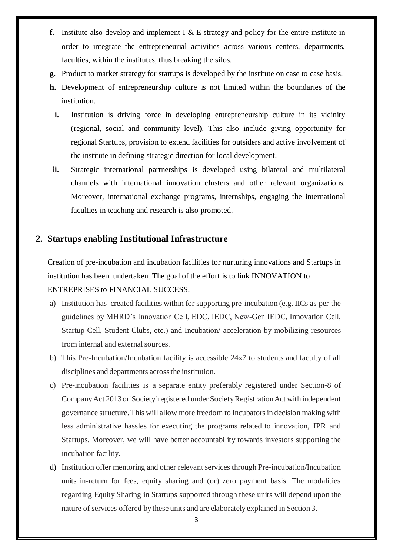- **f.** Institute also develop and implement I  $\&$  E strategy and policy for the entire institute in order to integrate the entrepreneurial activities across various centers, departments, faculties, within the institutes, thus breaking the silos.
- **g.** Product to market strategy for startups is developed by the institute on case to case basis.
- **h.** Development of entrepreneurship culture is not limited within the boundaries of the institution.
	- **i.** Institution is driving force in developing entrepreneurship culture in its vicinity (regional, social and community level). This also include giving opportunity for regional Startups, provision to extend facilities for outsiders and active involvement of the institute in defining strategic direction for local development.
- **ii.** Strategic international partnerships is developed using bilateral and multilateral channels with international innovation clusters and other relevant organizations. Moreover, international exchange programs, internships, engaging the international faculties in teaching and research is also promoted.

#### **2. Startups enabling Institutional Infrastructure**

Creation of pre-incubation and incubation facilities for nurturing innovations and Startups in institution has been undertaken. The goal of the effort is to link INNOVATION to ENTREPRISES to FINANCIAL SUCCESS.

- a) Institution has created facilities within for supporting pre-incubation (e.g. IICs as per the guidelines by MHRD's Innovation Cell, EDC, IEDC, New-Gen IEDC, Innovation Cell, Startup Cell, Student Clubs, etc.) and Incubation/ acceleration by mobilizing resources from internal and external sources.
- b) This Pre-Incubation/Incubation facility is accessible 24x7 to students and faculty of all disciplines and departments across the institution.
- c) Pre-incubation facilities is a separate entity preferably registered under Section-8 of Company Act 2013 or 'Society' registered under Society Registration Act with independent governance structure. This will allow more freedom to Incubatorsin decision making with less administrative hassles for executing the programs related to innovation, IPR and Startups. Moreover, we will have better accountability towards investors supporting the incubation facility.
- d) Institution offer mentoring and other relevant services through Pre-incubation/Incubation units in-return for fees, equity sharing and (or) zero payment basis. The modalities regarding Equity Sharing in Startups supported through these units will depend upon the nature of services offered by these units and are elaborately explained in Section 3.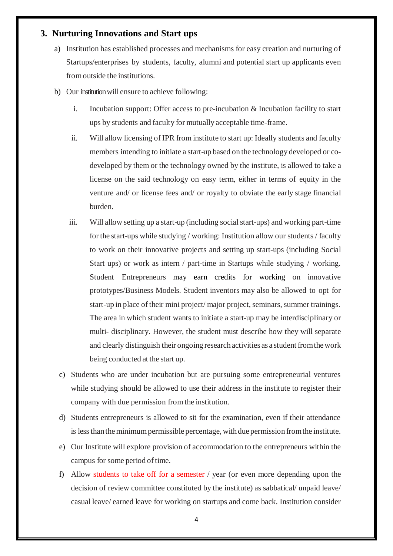#### **3. Nurturing Innovations and Start ups**

- a) Institution has established processes and mechanisms for easy creation and nurturing of Startups/enterprises by students, faculty, alumni and potential start up applicants even fromoutside the institutions.
- b) Our institutionwill ensure to achieve following:
	- i. Incubation support: Offer access to pre-incubation & Incubation facility to start ups by students and faculty for mutually acceptable time-frame.
	- ii. Will allow licensing of IPR from institute to start up: Ideally students and faculty members intending to initiate a start-up based on the technology developed or codeveloped by them or the technology owned by the institute, is allowed to take a license on the said technology on easy term, either in terms of equity in the venture and/ or license fees and/ or royalty to obviate the early stage financial burden.
	- iii. Will allow setting up a start-up (including socialstart-ups) and working part-time for the start-ups while studying / working: Institution allow our students / faculty to work on their innovative projects and setting up start-ups (including Social Start ups) or work as intern / part-time in Startups while studying / working. Student Entrepreneurs may earn credits for working on innovative prototypes/Business Models. Student inventors may also be allowed to opt for start-up in place of their mini project/ major project, seminars, summer trainings. The area in which student wants to initiate a start-up may be interdisciplinary or multi- disciplinary. However, the student must describe how they will separate and clearly distinguish their ongoing research activities as a student from the work being conducted at the start up.
	- c) Students who are under incubation but are pursuing some entrepreneurial ventures while studying should be allowed to use their address in the institute to register their company with due permission fromthe institution.
	- d) Students entrepreneurs is allowed to sit for the examination, even if their attendance is less thanthe minimumpermissible percentage, withdue permission fromthe institute.
	- e) Our Institute will explore provision of accommodation to the entrepreneurs within the campus for some period of time.
	- f) Allow students to take off for a semester / year (or even more depending upon the decision of review committee constituted by the institute) as sabbatical/ unpaid leave/ casual leave/ earned leave for working on startups and come back. Institution consider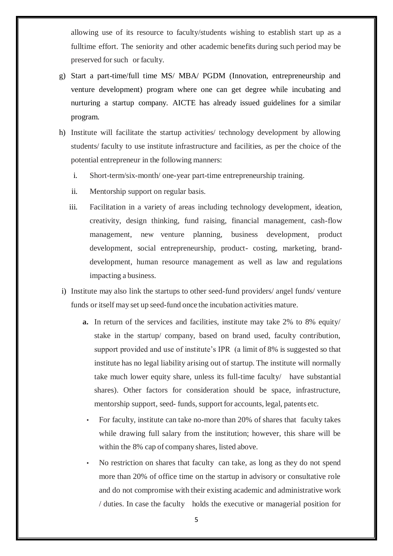allowing use of its resource to faculty/students wishing to establish start up as a fulltime effort. The seniority and other academic benefits during such period may be preserved forsuch or faculty.

- g) Start a part-time/full time MS/ MBA/ PGDM (Innovation, entrepreneurship and venture development) program where one can get degree while incubating and nurturing a startup company. AICTE has already issued guidelines for a similar program.
- h) Institute will facilitate the startup activities/ technology development by allowing students/ faculty to use institute infrastructure and facilities, as per the choice of the potential entrepreneur in the following manners:
	- i. Short-term/six-month/ one-year part-time entrepreneurship training.
	- ii. Mentorship support on regular basis.
	- iii. Facilitation in a variety of areas including technology development, ideation, creativity, design thinking, fund raising, financial management, cash-flow management, new venture planning, business development, product development, social entrepreneurship, product- costing, marketing, branddevelopment, human resource management as well as law and regulations impacting a business.
- i) Institute may also link the startups to other seed-fund providers/ angel funds/ venture funds or itself may set up seed-fund once the incubation activities mature.
	- **a.** In return of the services and facilities, institute may take 2% to 8% equity/ stake in the startup/ company, based on brand used, faculty contribution, support provided and use of institute's IPR (a limit of 8% is suggested so that institute has no legal liability arising out of startup. The institute will normally take much lower equity share, unless its full-time faculty/ have substantial shares). Other factors for consideration should be space, infrastructure, mentorship support, seed- funds, support for accounts, legal, patents etc.
		- For faculty, institute can take no-more than 20% of shares that faculty takes while drawing full salary from the institution; however, this share will be within the 8% cap of company shares, listed above.
		- No restriction on shares that faculty can take, as long as they do not spend more than 20% of office time on the startup in advisory or consultative role and do not compromise with their existing academic and administrative work / duties. In case the faculty holds the executive or managerial position for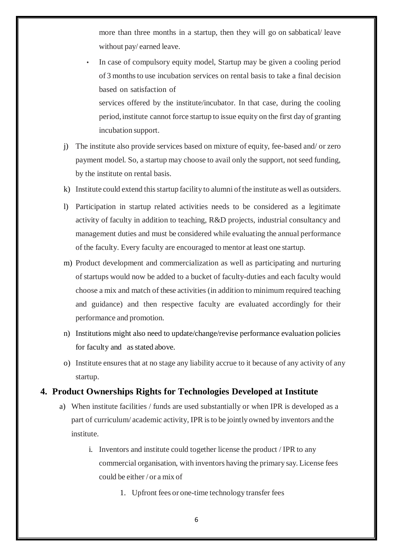more than three months in a startup, then they will go on sabbatical/ leave without pay/ earned leave.

In case of compulsory equity model, Startup may be given a cooling period of 3 monthsto use incubation services on rental basis to take a final decision based on satisfaction of

services offered by the institute/incubator. In that case, during the cooling period, institute cannot force startup to issue equity on the first day of granting incubation support.

- j) The institute also provide services based on mixture of equity, fee-based and/ or zero payment model. So, a startup may choose to avail only the support, not seed funding, by the institute on rental basis.
- k) Institute could extend this startup facility to alumni of the institute as well as outsiders.
- l) Participation in startup related activities needs to be considered as a legitimate activity of faculty in addition to teaching, R&D projects, industrial consultancy and management duties and must be considered while evaluating the annual performance of the faculty. Every faculty are encouraged to mentor at least one startup.
- m) Product development and commercialization as well as participating and nurturing of startups would now be added to a bucket of faculty-duties and each faculty would choose a mix and match of these activities (in addition to minimum required teaching and guidance) and then respective faculty are evaluated accordingly for their performance and promotion.
- n) Institutions might also need to update/change/revise performance evaluation policies for faculty and asstated above.
- o) Institute ensures that at no stage any liability accrue to it because of any activity of any startup.

#### **4. Product Ownerships Rights for Technologies Developed at Institute**

- a) When institute facilities / funds are used substantially or when IPR is developed as a part of curriculum/ academic activity, IPR isto be jointly owned by inventors and the institute.
	- i. Inventors and institute could together license the product / IPR to any commercial organisation, with inventors having the primary say. License fees could be either / or a mix of
		- 1. Upfront fees or one-time technology transfer fees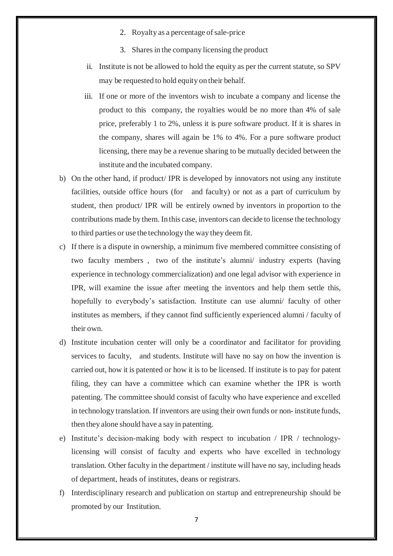- 2. Royalty as a percentage of sale-price
- 3. Shares in the company licensing the product
- ii. Institute is not be allowed to hold the equity as per the current statute, so SPV may be requested to hold equity on their behalf.
- iii. If one or more of the inventors wish to incubate a company and license the product to this company, the royalties would be no more than 4% of sale price, preferably 1 to 2%, unless it is pure software product. If it is shares in the company, shares will again be 1% to 4%. For a pure software product licensing, there may be a revenue sharing to be mutually decided between the institute and the incubated company.
- b) On the other hand, if product/ IPR is developed by innovators not using any institute facilities, outside office hours (for and faculty) or not as a part of curriculum by student, then product/ IPR will be entirely owned by inventors in proportion to the contributions made by them. In this case, inventors can decide to license the technology to third parties or use the technology the way they deem fit.
- c) If there is a dispute in ownership, a minimum five membered committee consisting of two faculty members , two of the institute's alumni/ industry experts (having experience in technology commercialization) and one legal advisor with experience in IPR, will examine the issue after meeting the inventors and help them settle this, hopefully to everybody's satisfaction. Institute can use alumni/ faculty of other institutes as members, if they cannot find sufficiently experienced alumni / faculty of their own.
- d) Institute incubation center will only be a coordinator and facilitator for providing services to faculty, and students. Institute will have no say on how the invention is carried out, how it is patented or how it is to be licensed. If institute is to pay for patent filing, they can have a committee which can examine whether the IPR is worth patenting. The committee should consist of faculty who have experience and excelled in technology translation. If inventors are using their own funds or non- institute funds, then they alone should have a say in patenting.
- e) Institute's decision-making body with respect to incubation / IPR / technologylicensing will consist of faculty and experts who have excelled in technology translation. Other faculty in the department / institute will have no say, including heads of department, heads of institutes, deans or registrars.
- f) Interdisciplinary research and publication on startup and entrepreneurship should be promoted by our Institution.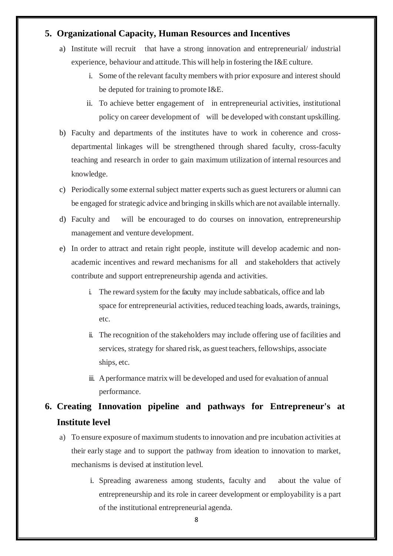#### **5. Organizational Capacity, Human Resources and Incentives**

- a) Institute will recruit that have a strong innovation and entrepreneurial/ industrial experience, behaviour and attitude.This will help in fostering the I&E culture.
	- i. Some of the relevant faculty members with prior exposure and interest should be deputed for training to promote I&E.
	- ii. To achieve better engagement of in entrepreneurial activities, institutional policy on career development of will be developed with constant upskilling.
- b) Faculty and departments of the institutes have to work in coherence and crossdepartmental linkages will be strengthened through shared faculty, cross-faculty teaching and research in order to gain maximum utilization of internal resources and knowledge.
- c) Periodically some external subject matter experts such as guest lecturers or alumni can be engaged for strategic advice and bringing in skills which are not available internally.
- d) Faculty and will be encouraged to do courses on innovation, entrepreneurship management and venture development.
- e) In order to attract and retain right people, institute will develop academic and nonacademic incentives and reward mechanisms for all and stakeholders that actively contribute and support entrepreneurship agenda and activities.
	- i. The reward system for the faculty may include sabbaticals, office and lab space for entrepreneurial activities, reduced teaching loads, awards, trainings, etc.
	- ii. The recognition of the stakeholders may include offering use of facilities and services, strategy for shared risk, as guest teachers, fellowships, associate ships, etc.
	- iii. Aperformance matrix will be developed and used for evaluation of annual performance.

### **6. Creating Innovation pipeline and pathways for Entrepreneur's at Institute level**

- a) To ensure exposure of maximum students to innovation and pre incubation activities at their early stage and to support the pathway from ideation to innovation to market, mechanisms is devised at institution level.
	- i. Spreading awareness among students, faculty and about the value of entrepreneurship and its role in career development or employability is a part of the institutional entrepreneurial agenda.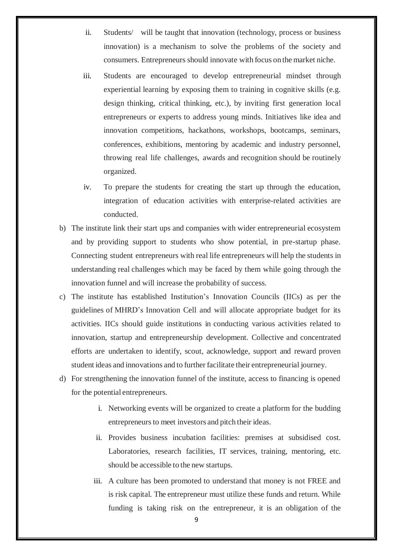- ii. Students/ will be taught that innovation (technology, process or business innovation) is a mechanism to solve the problems of the society and consumers. Entrepreneurs should innovate with focus on the market niche.
- iii. Students are encouraged to develop entrepreneurial mindset through experiential learning by exposing them to training in cognitive skills (e.g. design thinking, critical thinking, etc.), by inviting first generation local entrepreneurs or experts to address young minds. Initiatives like idea and innovation competitions, hackathons, workshops, bootcamps, seminars, conferences, exhibitions, mentoring by academic and industry personnel, throwing real life challenges, awards and recognition should be routinely organized.
- iv. To prepare the students for creating the start up through the education, integration of education activities with enterprise-related activities are conducted.
- b) The institute link their start ups and companies with wider entrepreneurial ecosystem and by providing support to students who show potential, in pre-startup phase. Connecting student entrepreneurs with real life entrepreneurs will help the students in understanding real challenges which may be faced by them while going through the innovation funnel and will increase the probability of success.
- c) The institute has established Institution's Innovation Councils (IICs) as per the guidelines of MHRD's Innovation Cell and will allocate appropriate budget for its activities. IICs should guide institutions in conducting various activities related to innovation, startup and entrepreneurship development. Collective and concentrated efforts are undertaken to identify, scout, acknowledge, support and reward proven student ideas and innovations and to further facilitate their entrepreneurial journey.
- d) For strengthening the innovation funnel of the institute, access to financing is opened for the potential entrepreneurs.
	- i. Networking events will be organized to create a platform for the budding entrepreneurs to meet investors and pitch their ideas.
	- ii. Provides business incubation facilities: premises at subsidised cost. Laboratories, research facilities, IT services, training, mentoring, etc. should be accessible to the new startups.
	- iii. A culture has been promoted to understand that money is not FREE and is risk capital. The entrepreneur must utilize these funds and return. While funding is taking risk on the entrepreneur, it is an obligation of the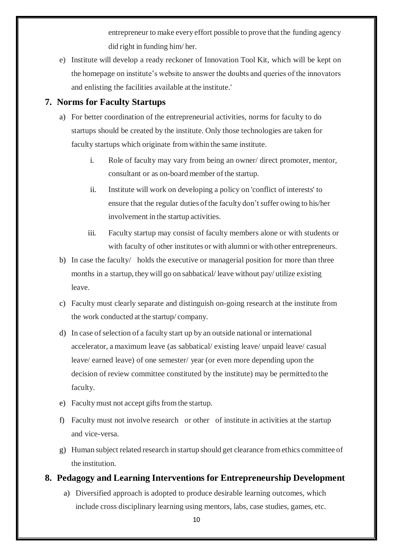entrepreneur to make every effort possible to prove that the funding agency did right in funding him/ her.

e) Institute will develop a ready reckoner of Innovation Tool Kit, which will be kept on the homepage on institute's website to answer the doubts and queries of the innovators and enlisting the facilities available at the institute.'

#### **7. Norms for Faculty Startups**

- a) For better coordination of the entrepreneurial activities, norms for faculty to do startups should be created by the institute. Only those technologies are taken for faculty startups which originate fromwithin the same institute.
	- i. Role of faculty may vary from being an owner/ direct promoter, mentor, consultant or as on-board member of the startup.
	- ii. Institute will work on developing a policy on 'conflict of interests' to ensure that the regular duties of the faculty don't suffer owing to his/her involvement in the startup activities.
	- iii. Faculty startup may consist of faculty members alone or with students or with faculty of other institutes or with alumni or with other entrepreneurs.
- b) In case the faculty/ holds the executive or managerial position for more than three months in a startup, they will go on sabbatical/ leave without pay/ utilize existing leave.
- c) Faculty must clearly separate and distinguish on-going research at the institute from the work conducted at the startup/ company.
- d) In case of selection of a faculty start up by an outside national or international accelerator, a maximum leave (as sabbatical/ existing leave/ unpaid leave/ casual leave/ earned leave) of one semester/ year (or even more depending upon the decision of review committee constituted by the institute) may be permitted to the faculty.
- e) Faculty must not accept gifts from the startup.
- f) Faculty must not involve research or other of institute in activities at the startup and vice-versa.
- g) Human subject related research in startup should get clearance fromethics committee of the institution.

#### **8. Pedagogy and Learning Interventions for Entrepreneurship Development**

a) Diversified approach is adopted to produce desirable learning outcomes, which include cross disciplinary learning using mentors, labs, case studies, games, etc.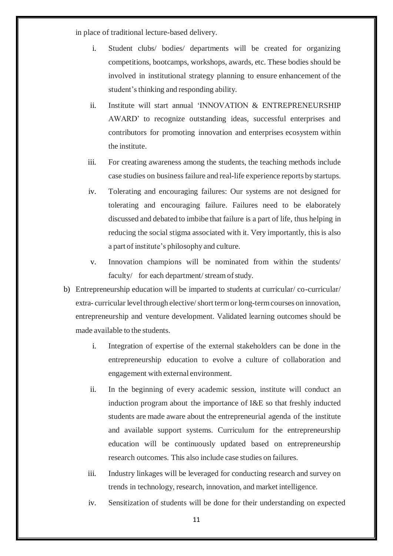in place of traditional lecture-based delivery.

- i. Student clubs/ bodies/ departments will be created for organizing competitions, bootcamps, workshops, awards, etc. These bodies should be involved in institutional strategy planning to ensure enhancement of the student's thinking and responding ability.
- ii. Institute will start annual 'INNOVATION & ENTREPRENEURSHIP AWARD' to recognize outstanding ideas, successful enterprises and contributors for promoting innovation and enterprises ecosystem within the institute.
- iii. For creating awareness among the students, the teaching methods include case studies on business failure and real-life experience reports by startups.
- iv. Tolerating and encouraging failures: Our systems are not designed for tolerating and encouraging failure. Failures need to be elaborately discussed and debated to imbibe that failure is a part of life, thus helping in reducing the social stigma associated with it. Very importantly, this is also a part of institute's philosophy and culture.
- v. Innovation champions will be nominated from within the students/ faculty/ for each department/stream of study.
- b) Entrepreneurship education will be imparted to students at curricular/ co-curricular/ extra- curricular level through elective/short term or long-term courses on innovation, entrepreneurship and venture development. Validated learning outcomes should be made available to the students.
	- i. Integration of expertise of the external stakeholders can be done in the entrepreneurship education to evolve a culture of collaboration and engagement with external environment.
	- ii. In the beginning of every academic session, institute will conduct an induction program about the importance of I&E so that freshly inducted students are made aware about the entrepreneurial agenda of the institute and available support systems. Curriculum for the entrepreneurship education will be continuously updated based on entrepreneurship research outcomes. This also include case studies on failures.
	- iii. Industry linkages will be leveraged for conducting research and survey on trends in technology, research, innovation, and market intelligence.
	- iv. Sensitization of students will be done for their understanding on expected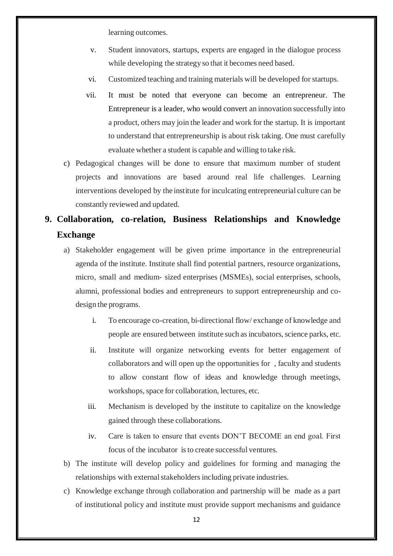learning outcomes.

- v. Student innovators, startups, experts are engaged in the dialogue process while developing the strategy so that it becomes need based.
- vi. Customized teaching and training materials will be developed forstartups.
- vii. It must be noted that everyone can become an entrepreneur. The Entrepreneur is a leader, who would convert an innovation successfully into a product, others may join the leader and work for the startup. It is important to understand that entrepreneurship is about risk taking. One must carefully evaluate whether a student is capable and willing to take risk.
- c) Pedagogical changes will be done to ensure that maximum number of student projects and innovations are based around real life challenges. Learning interventions developed by the institute for inculcating entrepreneurial culture can be constantly reviewed and updated.

### **9. Collaboration, co-relation, Business Relationships and Knowledge Exchange**

- a) Stakeholder engagement will be given prime importance in the entrepreneurial agenda of the institute. Institute shall find potential partners, resource organizations, micro, small and medium- sized enterprises (MSMEs), social enterprises, schools, alumni, professional bodies and entrepreneurs to support entrepreneurship and codesign the programs.
	- i. To encourage co-creation, bi-directional flow/ exchange of knowledge and people are ensured between institute such asincubators, science parks, etc.
	- ii. Institute will organize networking events for better engagement of collaborators and will open up the opportunities for , faculty and students to allow constant flow of ideas and knowledge through meetings, workshops, space for collaboration, lectures, etc.
	- iii. Mechanism is developed by the institute to capitalize on the knowledge gained through these collaborations.
	- iv. Care is taken to ensure that events DON'T BECOME an end goal. First focus of the incubator isto create successful ventures.
- b) The institute will develop policy and guidelines for forming and managing the relationships with external stakeholders including private industries.
- c) Knowledge exchange through collaboration and partnership will be made as a part of institutional policy and institute must provide support mechanisms and guidance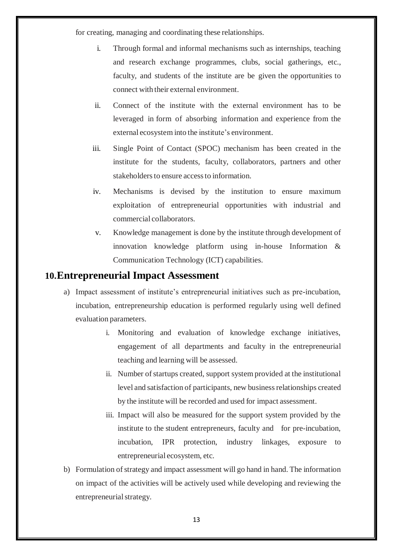for creating, managing and coordinating these relationships.

- i. Through formal and informal mechanisms such as internships, teaching and research exchange programmes, clubs, social gatherings, etc., faculty, and students of the institute are be given the opportunities to connect with their external environment.
- ii. Connect of the institute with the external environment has to be leveraged in form of absorbing information and experience from the external ecosystem into the institute's environment.
- iii. Single Point of Contact (SPOC) mechanism has been created in the institute for the students, faculty, collaborators, partners and other stakeholders to ensure access to information.
- iv. Mechanisms is devised by the institution to ensure maximum exploitation of entrepreneurial opportunities with industrial and commercial collaborators.
- v. Knowledge management is done by the institute through development of innovation knowledge platform using in-house Information & Communication Technology (ICT) capabilities.

#### **10.Entrepreneurial Impact Assessment**

- a) Impact assessment of institute's entrepreneurial initiatives such as pre-incubation, incubation, entrepreneurship education is performed regularly using well defined evaluation parameters.
	- i. Monitoring and evaluation of knowledge exchange initiatives, engagement of all departments and faculty in the entrepreneurial teaching and learning will be assessed.
	- ii. Number of startups created, support system provided at the institutional level and satisfaction of participants, new businessrelationships created by the institute will be recorded and used for impact assessment.
	- iii. Impact will also be measured for the support system provided by the institute to the student entrepreneurs, faculty and for pre-incubation, incubation, IPR protection, industry linkages, exposure to entrepreneurial ecosystem, etc.
- b) Formulation of strategy and impact assessment will go hand in hand. The information on impact of the activities will be actively used while developing and reviewing the entrepreneurial strategy.